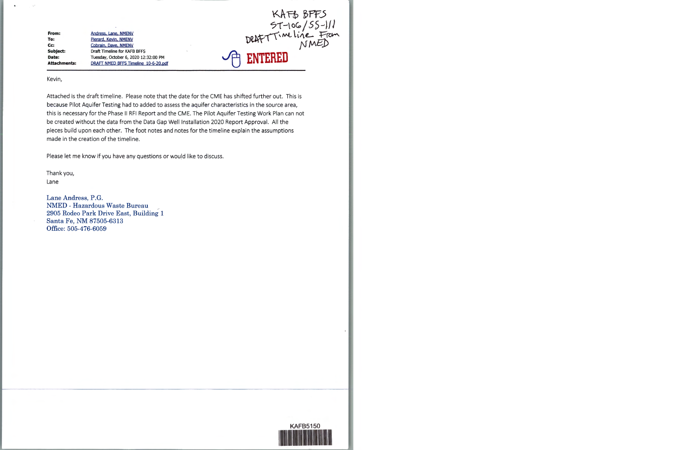**From: To: Cc: Subject: Date: Attachments:**  Andress. Lane. NMENY Pierard. Kevin. NMENV Cobrajn. Daye. NMENY Draft Timeline for KAFB BFFS Tuesday, October 6, 2020 12:32:00 PM DRAFT NMED BFFS Timeline 10-6-20.pdf



Kevin,

Attached is the draft timeline. Please note that the date for the CME has shifted further out. This is because Pilot Aquifer Testing had to added to assess the aquifer characteristics in the source area, this is necessary for the Phase II RFI Report and the CME. The Pilot Aquifer Testing Work Plan can not be created without the data from the Data Gap Well Installation 2020 Report Approval. All the pieces build upon each other. The foot notes and notes for the timeline explain the assumptions made in the creation of the timeline.

Please let me know if you have any questions or would like to discuss.

Thank you, Lane

Lane Andress, P.G. NMED - Hazardous Waste Bureau 2905 Rodeo Park Drive East, Building **1**  Santa Fe, NM 87505-6313 Office: 505-476-6059